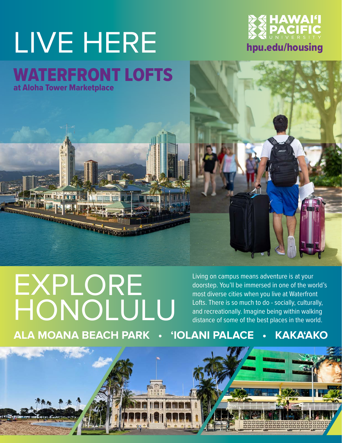# LIVE HERE WATERFRONT LOFTS



at Aloha Tower Marketplace